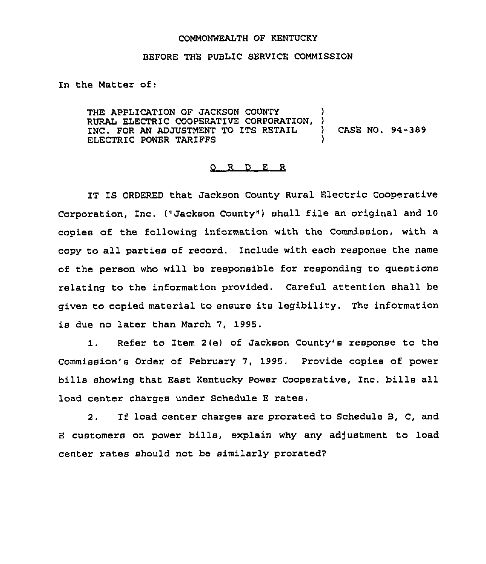## COMMONWEALTH OF KENTUCKY

## BEFORE THE PUBLIC SERVICE COMMISSION

In the Matter of:

THE APPLICATION OF JACKSON COUNTY )<br>RUBAL ELECTRIC COOPERATIVE CORPORATION. ) RURAL ELECTRIC COOPERATIVE CORPORATION, )<br>TNC. FOR AN ADJUSTMENT TO ITS RETAIL INC. FOR AN ADJUSTMENT TO ITS RETAIL ) CASE NO. 94-389 ELECTRIC POWER TAR1FFS )

## R D E R O.,

IT IS ORDERED that Jackson County Rural Electric Cooperative Corporation, Inc. ("Jackson County") shall file an original and 10 copies of the following information with the Commission, with a copy to all parties of record. Include with each response the name of the person who will be responsible for responding to questions relating to the information provided. Careful attention shall be given to copied material to ensure its legibility. The information is due no later than March 7, 1995.

1. Refer to Item 2(e) of Jackson County's response to the Commission's Order of February 7, 1995, Provide copies of power bills showing that East Kentucky Power Cooperative, Inc. bills all load center charges under Schedule <sup>E</sup> rates.

2. If load center charges are prorated to Schedule B, C, and <sup>E</sup> customers on power bills, explain why any adjustment to load center rates should not be similarly prorated?